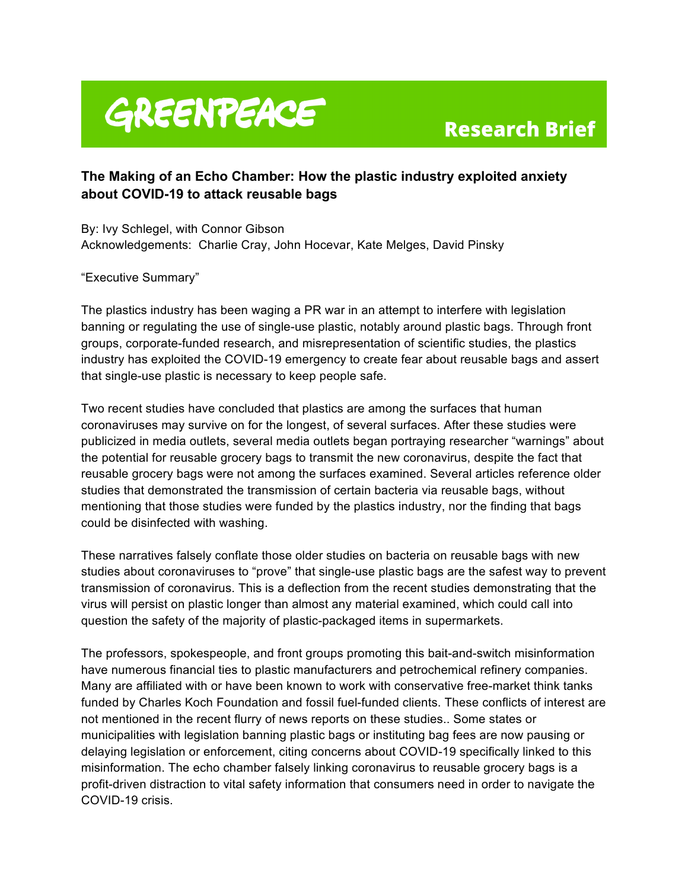# GREENPEACE

# **Research Brief**

# **The Making of an Echo Chamber: How the plastic industry exploited anxiety about COVID-19 to attack reusable bags**

By: Ivy Schlegel, with Connor Gibson Acknowledgements: Charlie Cray, John Hocevar, Kate Melges, David Pinsky

"Executive Summary"

The plastics industry has been waging a PR war in an attempt to interfere with legislation banning or regulating the use of single-use plastic, notably around plastic bags. Through front groups, corporate-funded research, and misrepresentation of scientific studies, the plastics industry has exploited the COVID-19 emergency to create fear about reusable bags and assert that single-use plastic is necessary to keep people safe.

Two recent studies have concluded that plastics are among the surfaces that human coronaviruses may survive on for the longest, of several surfaces. After these studies were publicized in media outlets, several media outlets began portraying researcher "warnings" about the potential for reusable grocery bags to transmit the new coronavirus, despite the fact that reusable grocery bags were not among the surfaces examined. Several articles reference older studies that demonstrated the transmission of certain bacteria via reusable bags, without mentioning that those studies were funded by the plastics industry, nor the finding that bags could be disinfected with washing.

These narratives falsely conflate those older studies on bacteria on reusable bags with new studies about coronaviruses to "prove" that single-use plastic bags are the safest way to prevent transmission of coronavirus. This is a deflection from the recent studies demonstrating that the virus will persist on plastic longer than almost any material examined, which could call into question the safety of the majority of plastic-packaged items in supermarkets.

The professors, spokespeople, and front groups promoting this bait-and-switch misinformation have numerous financial ties to plastic manufacturers and petrochemical refinery companies. Many are affiliated with or have been known to work with conservative free-market think tanks funded by Charles Koch Foundation and fossil fuel-funded clients. These conflicts of interest are not mentioned in the recent flurry of news reports on these studies.. Some states or municipalities with legislation banning plastic bags or instituting bag fees are now pausing or delaying legislation or enforcement, citing concerns about COVID-19 specifically linked to this misinformation. The echo chamber falsely linking coronavirus to reusable grocery bags is a profit-driven distraction to vital safety information that consumers need in order to navigate the COVID-19 crisis.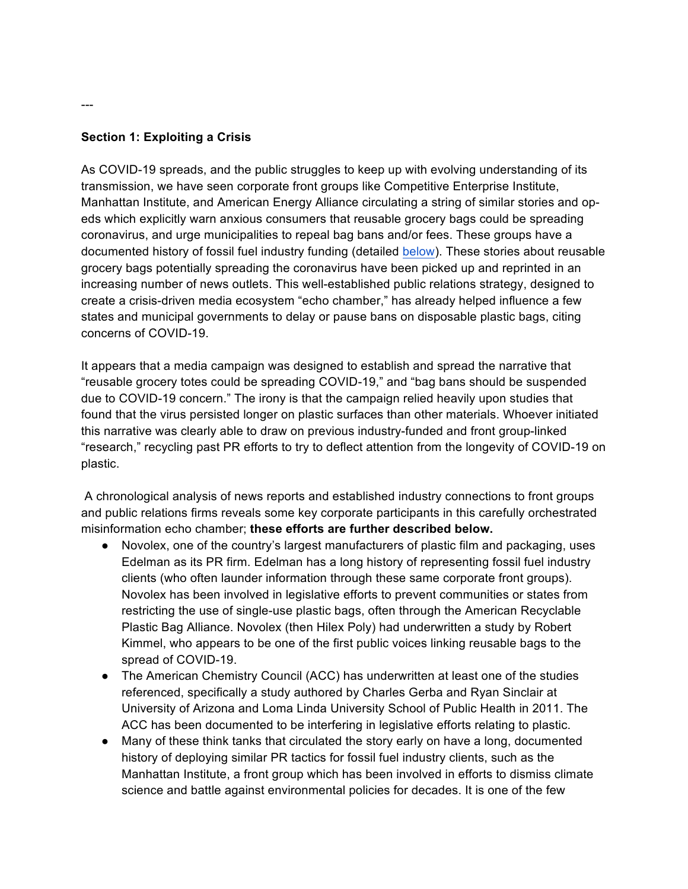#### **Section 1: Exploiting a Crisis**

As COVID-19 spreads, and the public struggles to keep up with evolving understanding of its transmission, we have seen corporate front groups like Competitive Enterprise Institute, Manhattan Institute, and American Energy Alliance circulating a string of similar stories and opeds which explicitly warn anxious consumers that reusable grocery bags could be spreading coronavirus, and urge municipalities to repeal bag bans and/or fees. These groups have a documented history of fossil fuel industry funding (detailed below). These stories about reusable grocery bags potentially spreading the coronavirus have been picked up and reprinted in an increasing number of news outlets. This well-established public relations strategy, designed to create a crisis-driven media ecosystem "echo chamber," has already helped influence a few states and municipal governments to delay or pause bans on disposable plastic bags, citing concerns of COVID-19.

It appears that a media campaign was designed to establish and spread the narrative that "reusable grocery totes could be spreading COVID-19," and "bag bans should be suspended due to COVID-19 concern." The irony is that the campaign relied heavily upon studies that found that the virus persisted longer on plastic surfaces than other materials. Whoever initiated this narrative was clearly able to draw on previous industry-funded and front group-linked "research," recycling past PR efforts to try to deflect attention from the longevity of COVID-19 on plastic.

A chronological analysis of news reports and established industry connections to front groups and public relations firms reveals some key corporate participants in this carefully orchestrated misinformation echo chamber; **these efforts are further described below.** 

- Novolex, one of the country's largest manufacturers of plastic film and packaging, uses Edelman as its PR firm. Edelman has a long history of representing fossil fuel industry clients (who often launder information through these same corporate front groups). Novolex has been involved in legislative efforts to prevent communities or states from restricting the use of single-use plastic bags, often through the American Recyclable Plastic Bag Alliance. Novolex (then Hilex Poly) had underwritten a study by Robert Kimmel, who appears to be one of the first public voices linking reusable bags to the spread of COVID-19.
- The American Chemistry Council (ACC) has underwritten at least one of the studies referenced, specifically a study authored by Charles Gerba and Ryan Sinclair at University of Arizona and Loma Linda University School of Public Health in 2011. The ACC has been documented to be interfering in legislative efforts relating to plastic.
- Many of these think tanks that circulated the story early on have a long, documented history of deploying similar PR tactics for fossil fuel industry clients, such as the Manhattan Institute, a front group which has been involved in efforts to dismiss climate science and battle against environmental policies for decades. It is one of the few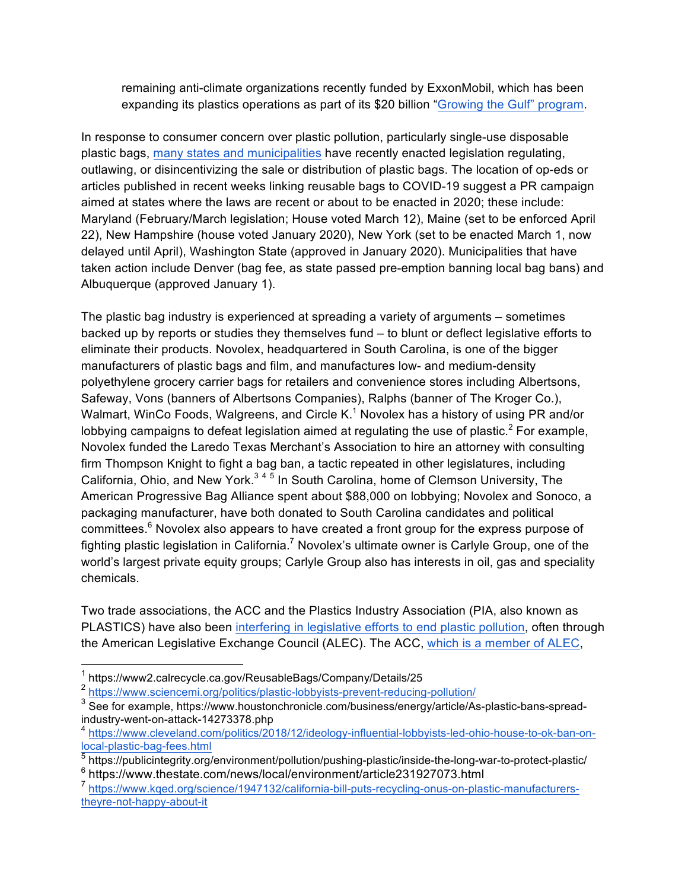remaining anti-climate organizations recently funded by ExxonMobil, which has been expanding its plastics operations as part of its \$20 billion "Growing the Gulf" program.

In response to consumer concern over plastic pollution, particularly single-use disposable plastic bags, many states and municipalities have recently enacted legislation regulating, outlawing, or disincentivizing the sale or distribution of plastic bags. The location of op-eds or articles published in recent weeks linking reusable bags to COVID-19 suggest a PR campaign aimed at states where the laws are recent or about to be enacted in 2020; these include: Maryland (February/March legislation; House voted March 12), Maine (set to be enforced April 22), New Hampshire (house voted January 2020), New York (set to be enacted March 1, now delayed until April), Washington State (approved in January 2020). Municipalities that have taken action include Denver (bag fee, as state passed pre-emption banning local bag bans) and Albuquerque (approved January 1).

The plastic bag industry is experienced at spreading a variety of arguments – sometimes backed up by reports or studies they themselves fund – to blunt or deflect legislative efforts to eliminate their products. Novolex, headquartered in South Carolina, is one of the bigger manufacturers of plastic bags and film, and manufactures low- and medium-density polyethylene grocery carrier bags for retailers and convenience stores including Albertsons, Safeway, Vons (banners of Albertsons Companies), Ralphs (banner of The Kroger Co.), Walmart, WinCo Foods, Walgreens, and Circle  $K<sup>1</sup>$  Novolex has a history of using PR and/or lobbying campaigns to defeat legislation aimed at regulating the use of plastic.<sup>2</sup> For example, Novolex funded the Laredo Texas Merchant's Association to hire an attorney with consulting firm Thompson Knight to fight a bag ban, a tactic repeated in other legislatures, including California, Ohio, and New York. $345$  In South Carolina, home of Clemson University, The American Progressive Bag Alliance spent about \$88,000 on lobbying; Novolex and Sonoco, a packaging manufacturer, have both donated to South Carolina candidates and political committees.<sup>6</sup> Novolex also appears to have created a front group for the express purpose of fighting plastic legislation in California.<sup>7</sup> Novolex's ultimate owner is Carlyle Group, one of the world's largest private equity groups; Carlyle Group also has interests in oil, gas and speciality chemicals.

Two trade associations, the ACC and the Plastics Industry Association (PIA, also known as PLASTICS) have also been interfering in legislative efforts to end plastic pollution, often through the American Legislative Exchange Council (ALEC). The ACC, which is a member of ALEC,

 <sup>1</sup> https://www2.calrecycle.ca.gov/ReusableBags/Company/Details/25

<sup>2</sup> https://www.sciencemi.org/politics/plastic-lobbyists-prevent-reducing-pollution/

<sup>&</sup>lt;sup>3</sup> See for example, https://www.houstonchronicle.com/business/energy/article/As-plastic-bans-spreadindustry-went-on-attack-14273378.php

<sup>4</sup> https://www.cleveland.com/politics/2018/12/ideology-influential-lobbyists-led-ohio-house-to-ok-ban-onlocal-plastic-bag-fees.html

<sup>5</sup> https://publicintegrity.org/environment/pollution/pushing-plastic/inside-the-long-war-to-protect-plastic/ <sup>6</sup> https://www.thestate.com/news/local/environment/article231927073.html

<sup>7</sup> https://www.kqed.org/science/1947132/california-bill-puts-recycling-onus-on-plastic-manufacturerstheyre-not-happy-about-it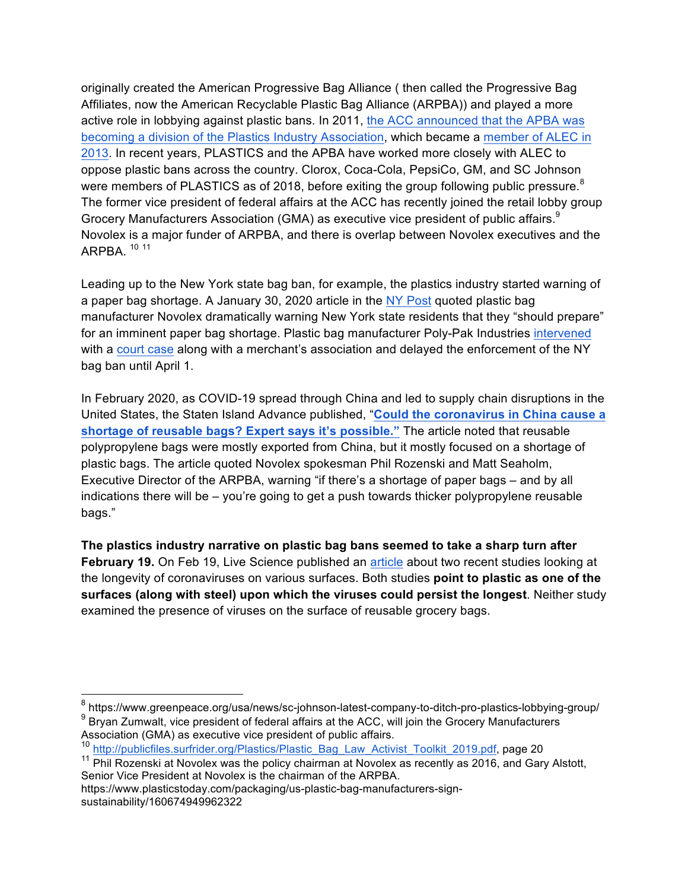originally created the American Progressive Bag Alliance ( then called the Progressive Bag Affiliates, now the American Recyclable Plastic Bag Alliance (ARPBA)) and played a more active role in lobbying against plastic bans. In 2011, the ACC announced that the APBA was becoming a division of the Plastics Industry Association, which became a member of ALEC in 2013. In recent years, PLASTICS and the APBA have worked more closely with ALEC to oppose plastic bans across the country. Clorox, Coca-Cola, PepsiCo, GM, and SC Johnson were members of PLASTICS as of 2018, before exiting the group following public pressure.<sup>8</sup> The former vice president of federal affairs at the ACC has recently joined the retail lobby group Grocery Manufacturers Association (GMA) as executive vice president of public affairs.<sup>9</sup> Novolex is a major funder of ARPBA, and there is overlap between Novolex executives and the ARPBA. <sup>10</sup> <sup>11</sup>

Leading up to the New York state bag ban, for example, the plastics industry started warning of a paper bag shortage. A January 30, 2020 article in the NY Post quoted plastic bag manufacturer Novolex dramatically warning New York state residents that they "should prepare" for an imminent paper bag shortage. Plastic bag manufacturer Poly-Pak Industries intervened with a court case along with a merchant's association and delayed the enforcement of the NY bag ban until April 1.

In February 2020, as COVID-19 spread through China and led to supply chain disruptions in the United States, the Staten Island Advance published, "**Could the coronavirus in China cause a shortage of reusable bags? Expert says it's possible."** The article noted that reusable polypropylene bags were mostly exported from China, but it mostly focused on a shortage of plastic bags. The article quoted Novolex spokesman Phil Rozenski and Matt Seaholm, Executive Director of the ARPBA, warning "if there's a shortage of paper bags – and by all indications there will be – you're going to get a push towards thicker polypropylene reusable bags."

**The plastics industry narrative on plastic bag bans seemed to take a sharp turn after February 19.** On Feb 19, Live Science published an article about two recent studies looking at the longevity of coronaviruses on various surfaces. Both studies **point to plastic as one of the surfaces (along with steel) upon which the viruses could persist the longest**. Neither study examined the presence of viruses on the surface of reusable grocery bags.

https://www.plasticstoday.com/packaging/us-plastic-bag-manufacturers-signsustainability/160674949962322

 <sup>8</sup> https://www.greenpeace.org/usa/news/sc-johnson-latest-company-to-ditch-pro-plastics-lobbying-group/  $9$  Brvan Zumwalt, vice president of federal affairs at the ACC, will join the Grocery Manufacturers Association (GMA) as executive vice president of public affairs.

<sup>&</sup>lt;sup>10</sup> http://publicfiles.surfrider.org/Plastics/Plastic\_Bag\_Law\_Activist\_Toolkit\_2019.pdf, page 20

 $11$  Phil Rozenski at Novolex was the policy chairman at Novolex as recently as 2016, and Gary Alstott, Senior Vice President at Novolex is the chairman of the ARPBA.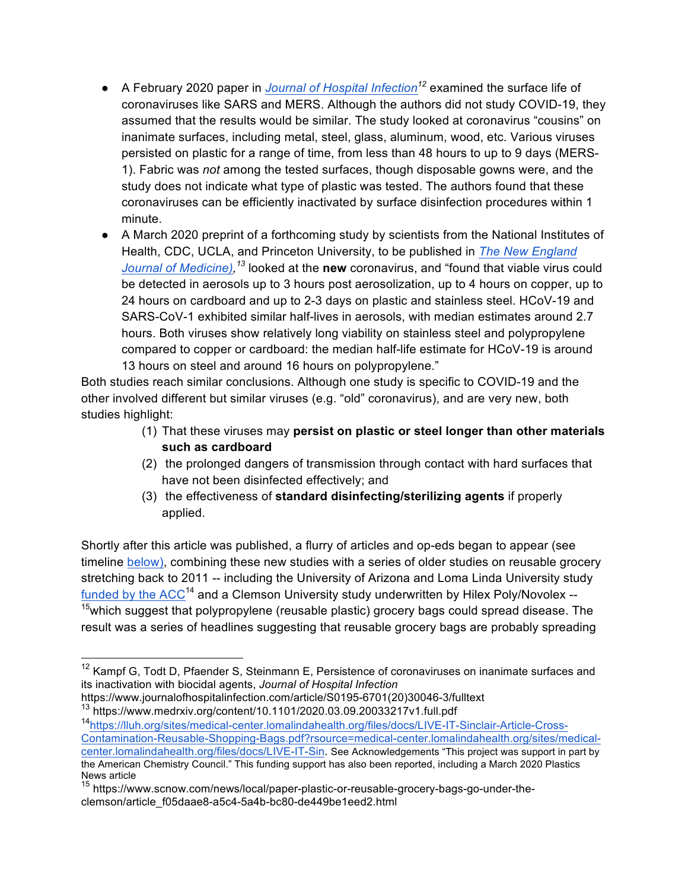- A February 2020 paper in *Journal of Hospital Infection<sup>12</sup>* examined the surface life of coronaviruses like SARS and MERS. Although the authors did not study COVID-19, they assumed that the results would be similar. The study looked at coronavirus "cousins" on inanimate surfaces, including metal, steel, glass, aluminum, wood, etc. Various viruses persisted on plastic for a range of time, from less than 48 hours to up to 9 days (MERS-1). Fabric was *not* among the tested surfaces, though disposable gowns were, and the study does not indicate what type of plastic was tested. The authors found that these coronaviruses can be efficiently inactivated by surface disinfection procedures within 1 minute.
- A March 2020 preprint of a forthcoming study by scientists from the National Institutes of Health, CDC, UCLA, and Princeton University, to be published in *The New England Journal of Medicine), <sup>13</sup>* looked at the **new** coronavirus, and "found that viable virus could be detected in aerosols up to 3 hours post aerosolization, up to 4 hours on copper, up to 24 hours on cardboard and up to 2-3 days on plastic and stainless steel. HCoV-19 and SARS-CoV-1 exhibited similar half-lives in aerosols, with median estimates around 2.7 hours. Both viruses show relatively long viability on stainless steel and polypropylene compared to copper or cardboard: the median half-life estimate for HCoV-19 is around 13 hours on steel and around 16 hours on polypropylene."

Both studies reach similar conclusions. Although one study is specific to COVID-19 and the other involved different but similar viruses (e.g. "old" coronavirus), and are very new, both studies highlight:

- (1) That these viruses may **persist on plastic or steel longer than other materials such as cardboard**
- (2) the prolonged dangers of transmission through contact with hard surfaces that have not been disinfected effectively; and
- (3) the effectiveness of **standard disinfecting/sterilizing agents** if properly applied.

Shortly after this article was published, a flurry of articles and op-eds began to appear (see timeline below), combining these new studies with a series of older studies on reusable grocery stretching back to 2011 -- including the University of Arizona and Loma Linda University study funded by the  $ACC^{14}$  and a Clemson University study underwritten by Hilex Poly/Novolex --<sup>15</sup>which suggest that polypropylene (reusable plastic) grocery bags could spread disease. The result was a series of headlines suggesting that reusable grocery bags are probably spreading

<sup>&</sup>lt;sup>12</sup> Kampf G, Todt D, Pfaender S, Steinmann E, Persistence of coronaviruses on inanimate surfaces and its inactivation with biocidal agents, *Journal of Hospital Infection* 

https://www.journalofhospitalinfection.com/article/S0195-6701(20)30046-3/fulltext

<sup>13</sup> https://www.medrxiv.org/content/10.1101/2020.03.09.20033217v1.full.pdf 14https://lluh.org/sites/medical-center.lomalindahealth.org/files/docs/LIVE-IT-Sinclair-Article-Cross-Contamination-Reusable-Shopping-Bags.pdf?rsource=medical-center.lomalindahealth.org/sites/medicalcenter.lomalindahealth.org/files/docs/LIVE-IT-Sin. See Acknowledgements "This project was support in part by the American Chemistry Council." This funding support has also been reported, including a March 2020 Plastics News article

<sup>&</sup>lt;sup>15</sup> https://www.scnow.com/news/local/paper-plastic-or-reusable-grocery-bags-go-under-theclemson/article\_f05daae8-a5c4-5a4b-bc80-de449be1eed2.html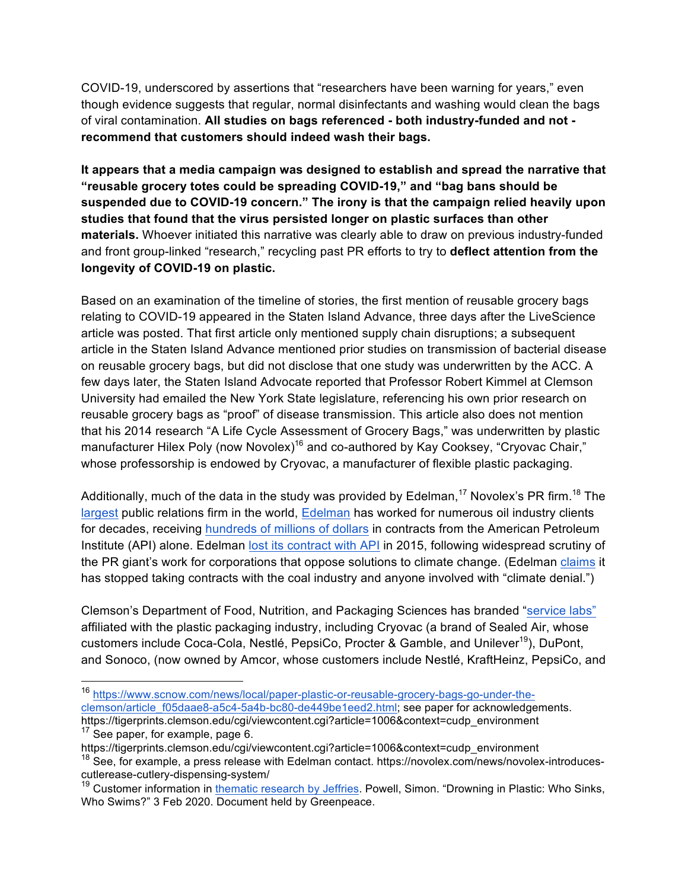COVID-19, underscored by assertions that "researchers have been warning for years," even though evidence suggests that regular, normal disinfectants and washing would clean the bags of viral contamination. **All studies on bags referenced - both industry-funded and not recommend that customers should indeed wash their bags.**

**It appears that a media campaign was designed to establish and spread the narrative that "reusable grocery totes could be spreading COVID-19," and "bag bans should be suspended due to COVID-19 concern." The irony is that the campaign relied heavily upon studies that found that the virus persisted longer on plastic surfaces than other materials.** Whoever initiated this narrative was clearly able to draw on previous industry-funded and front group-linked "research," recycling past PR efforts to try to **deflect attention from the longevity of COVID-19 on plastic.**

Based on an examination of the timeline of stories, the first mention of reusable grocery bags relating to COVID-19 appeared in the Staten Island Advance, three days after the LiveScience article was posted. That first article only mentioned supply chain disruptions; a subsequent article in the Staten Island Advance mentioned prior studies on transmission of bacterial disease on reusable grocery bags, but did not disclose that one study was underwritten by the ACC. A few days later, the Staten Island Advocate reported that Professor Robert Kimmel at Clemson University had emailed the New York State legislature, referencing his own prior research on reusable grocery bags as "proof" of disease transmission. This article also does not mention that his 2014 research "A Life Cycle Assessment of Grocery Bags," was underwritten by plastic manufacturer Hilex Poly (now Novolex)<sup>16</sup> and co-authored by Kay Cooksey, "Cryovac Chair," whose professorship is endowed by Cryovac, a manufacturer of flexible plastic packaging.

Additionally, much of the data in the study was provided by Edelman,<sup>17</sup> Novolex's PR firm.<sup>18</sup> The largest public relations firm in the world, Edelman has worked for numerous oil industry clients for decades, receiving hundreds of millions of dollars in contracts from the American Petroleum Institute (API) alone. Edelman lost its contract with API in 2015, following widespread scrutiny of the PR giant's work for corporations that oppose solutions to climate change. (Edelman claims it has stopped taking contracts with the coal industry and anyone involved with "climate denial.")

Clemson's Department of Food, Nutrition, and Packaging Sciences has branded "service labs" affiliated with the plastic packaging industry, including Cryovac (a brand of Sealed Air, whose customers include Coca-Cola, Nestlé, PepsiCo, Procter & Gamble, and Unilever<sup>19</sup>), DuPont, and Sonoco, (now owned by Amcor, whose customers include Nestlé, KraftHeinz, PepsiCo, and

 <sup>16</sup> https://www.scnow.com/news/local/paper-plastic-or-reusable-grocery-bags-go-under-theclemson/article\_f05daae8-a5c4-5a4b-bc80-de449be1eed2.html; see paper for acknowledgements.

https://tigerprints.clemson.edu/cgi/viewcontent.cgi?article=1006&context=cudp\_environment  $17$  See paper, for example, page 6.

https://tigerprints.clemson.edu/cgi/viewcontent.cgi?article=1006&context=cudp\_environment <sup>18</sup> See, for example, a press release with Edelman contact. https://novolex.com/news/novolex-introducescutlerease-cutlery-dispensing-system/

<sup>&</sup>lt;sup>19</sup> Customer information in thematic research by Jeffries. Powell, Simon. "Drowning in Plastic: Who Sinks, Who Swims?" 3 Feb 2020. Document held by Greenpeace.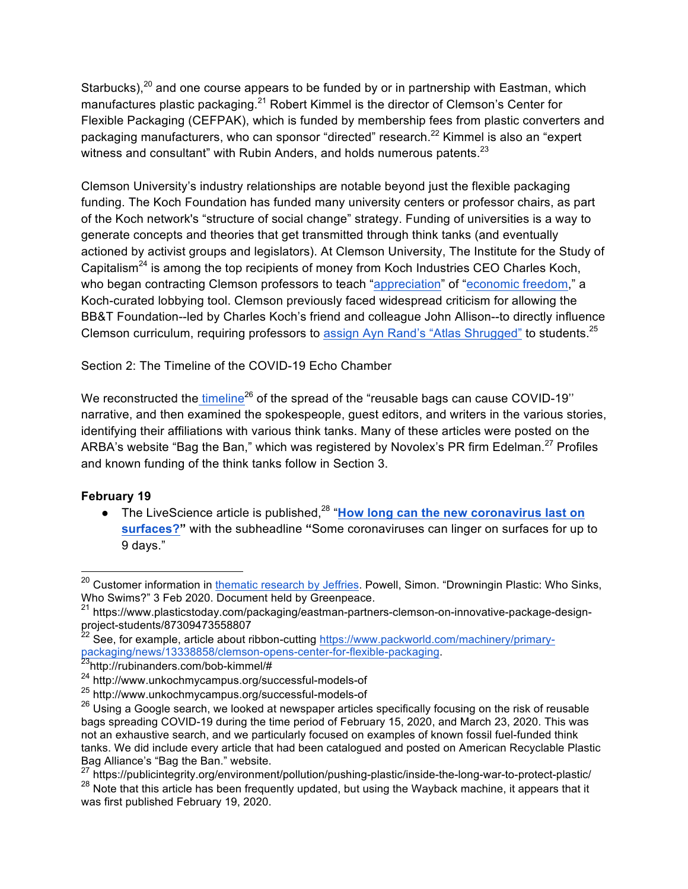Starbucks), $^{20}$  and one course appears to be funded by or in partnership with Eastman, which manufactures plastic packaging.<sup>21</sup> Robert Kimmel is the director of Clemson's Center for Flexible Packaging (CEFPAK), which is funded by membership fees from plastic converters and packaging manufacturers, who can sponsor "directed" research.<sup>22</sup> Kimmel is also an "expert witness and consultant" with Rubin Anders, and holds numerous patents.<sup>23</sup>

Clemson University's industry relationships are notable beyond just the flexible packaging funding. The Koch Foundation has funded many university centers or professor chairs, as part of the Koch network's "structure of social change" strategy. Funding of universities is a way to generate concepts and theories that get transmitted through think tanks (and eventually actioned by activist groups and legislators). At Clemson University, The Institute for the Study of Capitalism<sup>24</sup> is among the top recipients of money from Koch Industries CEO Charles Koch, who began contracting Clemson professors to teach "appreciation" of "economic freedom," a Koch-curated lobbying tool. Clemson previously faced widespread criticism for allowing the BB&T Foundation--led by Charles Koch's friend and colleague John Allison--to directly influence Clemson curriculum, requiring professors to assign Ayn Rand's "Atlas Shrugged" to students.25

Section 2: The Timeline of the COVID-19 Echo Chamber

We reconstructed the timeline<sup>26</sup> of the spread of the "reusable bags can cause COVID-19" narrative, and then examined the spokespeople, guest editors, and writers in the various stories, identifying their affiliations with various think tanks. Many of these articles were posted on the ARBA's website "Bag the Ban," which was registered by Novolex's PR firm Edelman.<sup>27</sup> Profiles and known funding of the think tanks follow in Section 3.

### **February 19**

• The LiveScience article is published,<sup>28</sup> "How long can the new coronavirus last on **surfaces?"** with the subheadline **"**Some coronaviruses can linger on surfaces for up to 9 days."

<sup>&</sup>lt;sup>20</sup> Customer information in thematic research by Jeffries. Powell, Simon. "Drowningin Plastic: Who Sinks, Who Swims?" 3 Feb 2020. Document held by Greenpeace.

<sup>21</sup> https://www.plasticstoday.com/packaging/eastman-partners-clemson-on-innovative-package-designproject-students/87309473558807

<sup>&</sup>lt;sup>22</sup> See, for example, article about ribbon-cutting https://www.packworld.com/machinery/primarypackaging/news/13338858/clemson-opens-center-for-flexible-packaging.

<sup>24</sup> http://www.unkochmycampus.org/successful-models-of

<sup>25</sup> http://www.unkochmycampus.org/successful-models-of

 $26$  Using a Google search, we looked at newspaper articles specifically focusing on the risk of reusable bags spreading COVID-19 during the time period of February 15, 2020, and March 23, 2020. This was not an exhaustive search, and we particularly focused on examples of known fossil fuel-funded think tanks. We did include every article that had been catalogued and posted on American Recyclable Plastic Bag Alliance's "Bag the Ban." website.

<sup>27</sup> https://publicintegrity.org/environment/pollution/pushing-plastic/inside-the-long-war-to-protect-plastic/ <sup>28</sup> Note that this article has been frequently updated, but using the Wayback machine, it appears that it was first published February 19, 2020.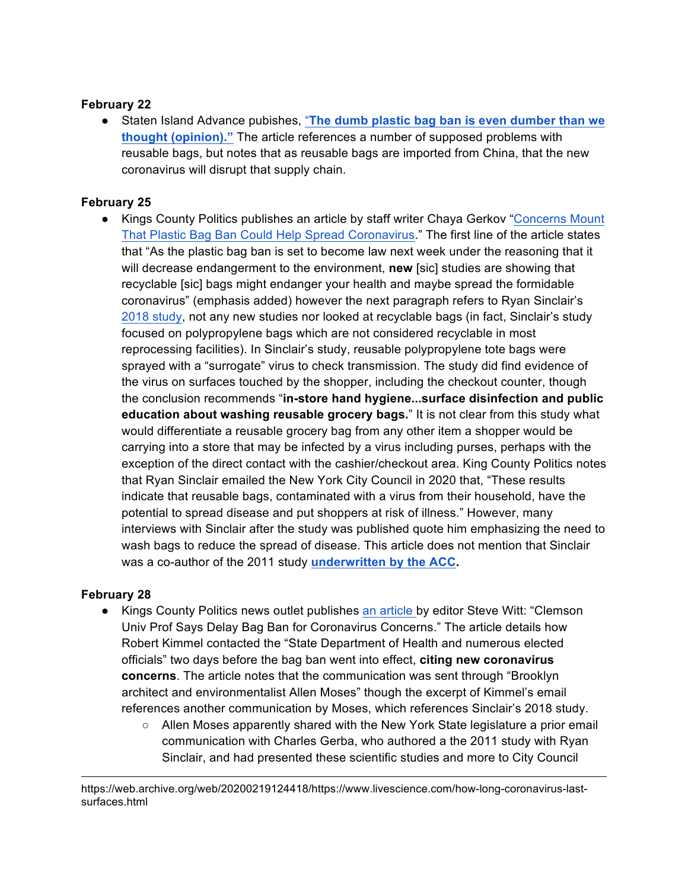#### **February 22**

● Staten Island Advance pubishes, "**The dumb plastic bag ban is even dumber than we thought (opinion)."** The article references a number of supposed problems with reusable bags, but notes that as reusable bags are imported from China, that the new coronavirus will disrupt that supply chain.

#### **February 25**

● Kings County Politics publishes an article by staff writer Chaya Gerkov "Concerns Mount That Plastic Bag Ban Could Help Spread Coronavirus." The first line of the article states that "As the plastic bag ban is set to become law next week under the reasoning that it will decrease endangerment to the environment, **new** [sic] studies are showing that recyclable [sic] bags might endanger your health and maybe spread the formidable coronavirus" (emphasis added) however the next paragraph refers to Ryan Sinclair's 2018 study, not any new studies nor looked at recyclable bags (in fact, Sinclair's study focused on polypropylene bags which are not considered recyclable in most reprocessing facilities). In Sinclair's study, reusable polypropylene tote bags were sprayed with a "surrogate" virus to check transmission. The study did find evidence of the virus on surfaces touched by the shopper, including the checkout counter, though the conclusion recommends "**in-store hand hygiene...surface disinfection and public education about washing reusable grocery bags.**" It is not clear from this study what would differentiate a reusable grocery bag from any other item a shopper would be carrying into a store that may be infected by a virus including purses, perhaps with the exception of the direct contact with the cashier/checkout area. King County Politics notes that Ryan Sinclair emailed the New York City Council in 2020 that, "These results indicate that reusable bags, contaminated with a virus from their household, have the potential to spread disease and put shoppers at risk of illness." However, many interviews with Sinclair after the study was published quote him emphasizing the need to wash bags to reduce the spread of disease. This article does not mention that Sinclair was a co-author of the 2011 study **underwritten by the ACC.** 

#### **February 28**

1

- Kings County Politics news outlet publishes an article by editor Steve Witt: "Clemson Univ Prof Says Delay Bag Ban for Coronavirus Concerns." The article details how Robert Kimmel contacted the "State Department of Health and numerous elected officials" two days before the bag ban went into effect, **citing new coronavirus concerns**. The article notes that the communication was sent through "Brooklyn architect and environmentalist Allen Moses" though the excerpt of Kimmel's email references another communication by Moses, which references Sinclair's 2018 study.
	- Allen Moses apparently shared with the New York State legislature a prior email communication with Charles Gerba, who authored a the 2011 study with Ryan Sinclair, and had presented these scientific studies and more to City Council

https://web.archive.org/web/20200219124418/https://www.livescience.com/how-long-coronavirus-lastsurfaces.html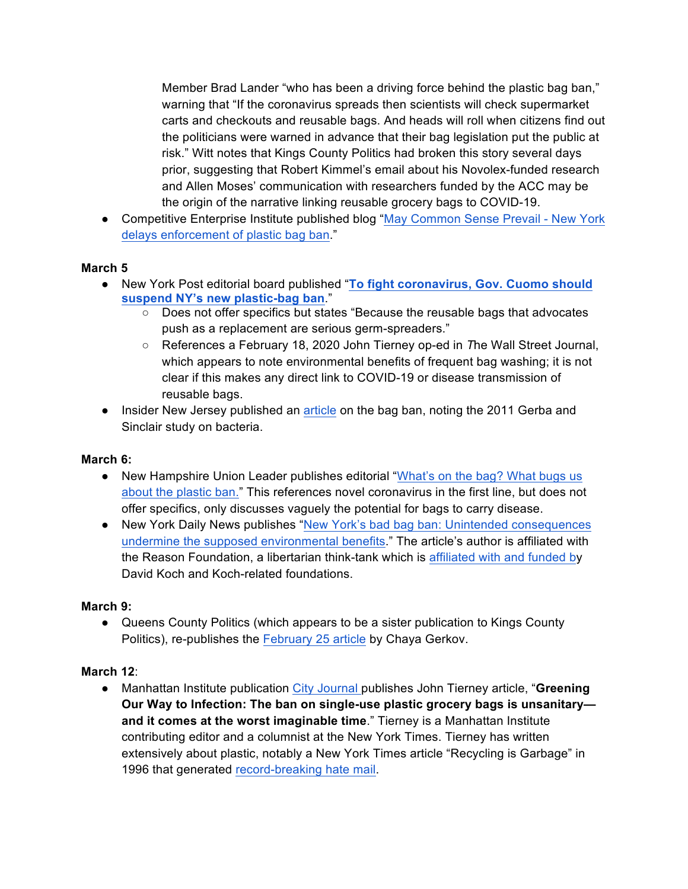Member Brad Lander "who has been a driving force behind the plastic bag ban," warning that "If the coronavirus spreads then scientists will check supermarket carts and checkouts and reusable bags. And heads will roll when citizens find out the politicians were warned in advance that their bag legislation put the public at risk." Witt notes that Kings County Politics had broken this story several days prior, suggesting that Robert Kimmel's email about his Novolex-funded research and Allen Moses' communication with researchers funded by the ACC may be the origin of the narrative linking reusable grocery bags to COVID-19.

● Competitive Enterprise Institute published blog "May Common Sense Prevail - New York delays enforcement of plastic bag ban."

#### **March 5**

- New York Post editorial board published "**To fight coronavirus, Gov. Cuomo should suspend NY's new plastic-bag ban**."
	- Does not offer specifics but states "Because the reusable bags that advocates push as a replacement are serious germ-spreaders."
	- References a February 18, 2020 John Tierney op-ed in *T*he Wall Street Journal, which appears to note environmental benefits of frequent bag washing; it is not clear if this makes any direct link to COVID-19 or disease transmission of reusable bags.
- Insider New Jersey published an article on the bag ban, noting the 2011 Gerba and Sinclair study on bacteria.

### **March 6:**

- New Hampshire Union Leader publishes editorial "What's on the bag? What bugs us about the plastic ban." This references novel coronavirus in the first line, but does not offer specifics, only discusses vaguely the potential for bags to carry disease.
- New York Daily News publishes "New York's bad bag ban: Unintended consequences undermine the supposed environmental benefits." The article's author is affiliated with the Reason Foundation, a libertarian think-tank which is affiliated with and funded by David Koch and Koch-related foundations.

#### **March 9:**

● Queens County Politics (which appears to be a sister publication to Kings County Politics), re-publishes the February 25 article by Chaya Gerkov.

### **March 12**:

● Manhattan Institute publication City Journal publishes John Tierney article, "**Greening Our Way to Infection: The ban on single-use plastic grocery bags is unsanitary and it comes at the worst imaginable time**." Tierney is a Manhattan Institute contributing editor and a columnist at the New York Times. Tierney has written extensively about plastic, notably a New York Times article "Recycling is Garbage" in 1996 that generated record-breaking hate mail.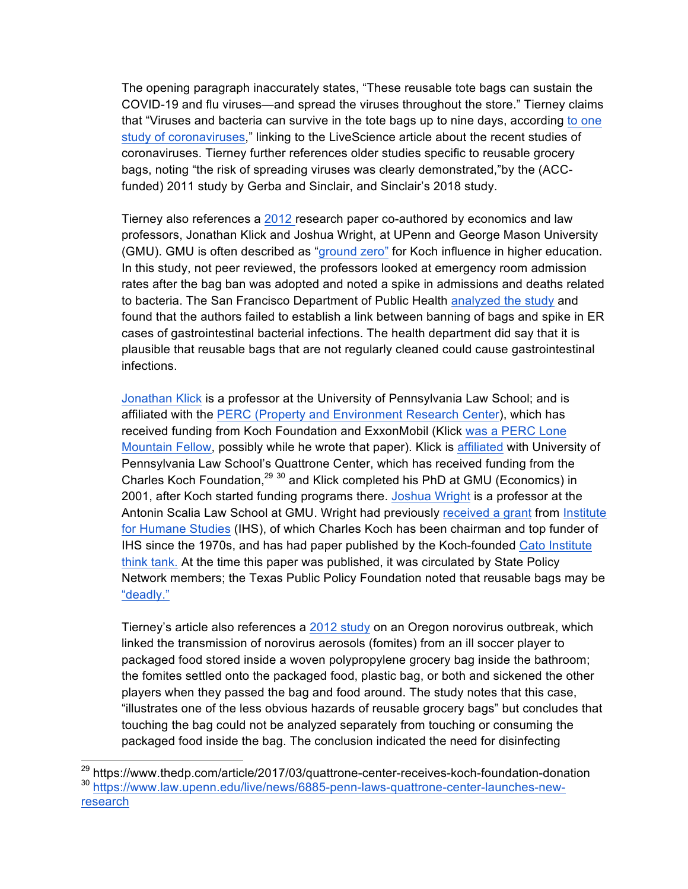The opening paragraph inaccurately states, "These reusable tote bags can sustain the COVID-19 and flu viruses—and spread the viruses throughout the store." Tierney claims that "Viruses and bacteria can survive in the tote bags up to nine days, according to one study of coronaviruses," linking to the LiveScience article about the recent studies of coronaviruses. Tierney further references older studies specific to reusable grocery bags, noting "the risk of spreading viruses was clearly demonstrated,"by the (ACCfunded) 2011 study by Gerba and Sinclair, and Sinclair's 2018 study.

Tierney also references a 2012 research paper co-authored by economics and law professors, Jonathan Klick and Joshua Wright, at UPenn and George Mason University (GMU). GMU is often described as "ground zero" for Koch influence in higher education. In this study, not peer reviewed, the professors looked at emergency room admission rates after the bag ban was adopted and noted a spike in admissions and deaths related to bacteria. The San Francisco Department of Public Health analyzed the study and found that the authors failed to establish a link between banning of bags and spike in ER cases of gastrointestinal bacterial infections. The health department did say that it is plausible that reusable bags that are not regularly cleaned could cause gastrointestinal infections.

Jonathan Klick is a professor at the University of Pennsylvania Law School; and is affiliated with the PERC (Property and Environment Research Center), which has received funding from Koch Foundation and ExxonMobil (Klick was a PERC Lone Mountain Fellow, possibly while he wrote that paper). Klick is affiliated with University of Pennsylvania Law School's Quattrone Center, which has received funding from the Charles Koch Foundation,<sup>29 30</sup> and Klick completed his PhD at GMU (Economics) in 2001, after Koch started funding programs there. Joshua Wright is a professor at the Antonin Scalia Law School at GMU. Wright had previously received a grant from Institute for Humane Studies (IHS), of which Charles Koch has been chairman and top funder of IHS since the 1970s, and has had paper published by the Koch-founded Cato Institute think tank. At the time this paper was published, it was circulated by State Policy Network members; the Texas Public Policy Foundation noted that reusable bags may be "deadly."

Tierney's article also references a 2012 study on an Oregon norovirus outbreak, which linked the transmission of norovirus aerosols (fomites) from an ill soccer player to packaged food stored inside a woven polypropylene grocery bag inside the bathroom; the fomites settled onto the packaged food, plastic bag, or both and sickened the other players when they passed the bag and food around. The study notes that this case, "illustrates one of the less obvious hazards of reusable grocery bags" but concludes that touching the bag could not be analyzed separately from touching or consuming the packaged food inside the bag. The conclusion indicated the need for disinfecting

 <sup>29</sup> https://www.thedp.com/article/2017/03/quattrone-center-receives-koch-foundation-donation <sup>30</sup> https://www.law.upenn.edu/live/news/6885-penn-laws-quattrone-center-launches-newresearch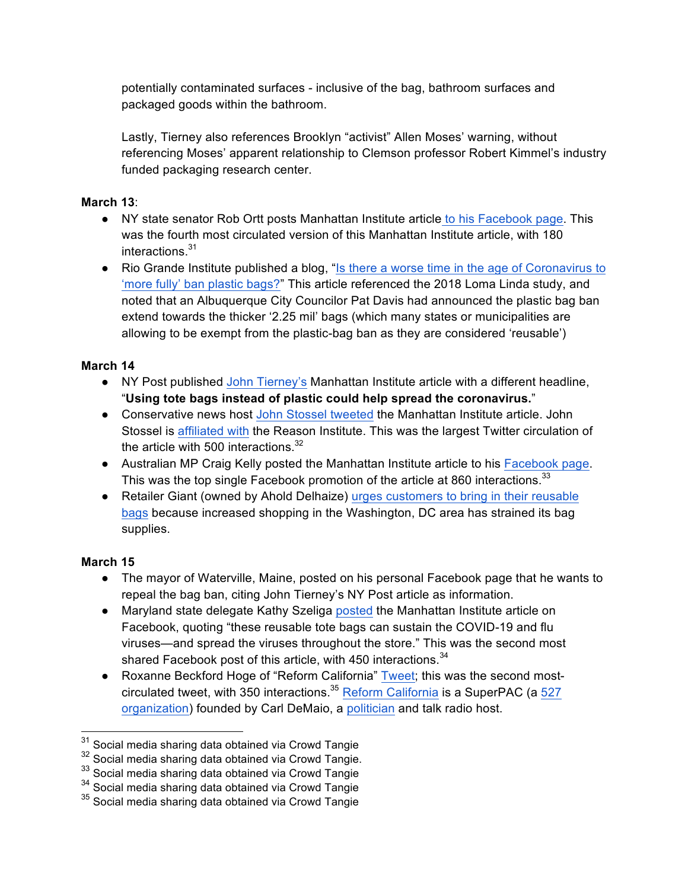potentially contaminated surfaces - inclusive of the bag, bathroom surfaces and packaged goods within the bathroom.

Lastly, Tierney also references Brooklyn "activist" Allen Moses' warning, without referencing Moses' apparent relationship to Clemson professor Robert Kimmel's industry funded packaging research center.

#### **March 13**:

- NY state senator Rob Ortt posts Manhattan Institute article to his Facebook page. This was the fourth most circulated version of this Manhattan Institute article, with 180 interactions.<sup>31</sup>
- Rio Grande Institute published a blog, "Is there a worse time in the age of Coronavirus to 'more fully' ban plastic bags?" This article referenced the 2018 Loma Linda study, and noted that an Albuquerque City Councilor Pat Davis had announced the plastic bag ban extend towards the thicker '2.25 mil' bags (which many states or municipalities are allowing to be exempt from the plastic-bag ban as they are considered 'reusable')

# **March 14**

- NY Post published John Tierney's Manhattan Institute article with a different headline, "**Using tote bags instead of plastic could help spread the coronavirus.**"
- Conservative news host John Stossel tweeted the Manhattan Institute article. John Stossel is affiliated with the Reason Institute. This was the largest Twitter circulation of the article with 500 interactions. $32$
- Australian MP Craig Kelly posted the Manhattan Institute article to his Facebook page. This was the top single Facebook promotion of the article at 860 interactions.<sup>33</sup>
- Retailer Giant (owned by Ahold Delhaize) urges customers to bring in their reusable bags because increased shopping in the Washington, DC area has strained its bag supplies.

- The mayor of Waterville, Maine, posted on his personal Facebook page that he wants to repeal the bag ban, citing John Tierney's NY Post article as information.
- Maryland state delegate Kathy Szeliga posted the Manhattan Institute article on Facebook, quoting "these reusable tote bags can sustain the COVID-19 and flu viruses—and spread the viruses throughout the store." This was the second most shared Facebook post of this article, with 450 interactions.<sup>34</sup>
- Roxanne Beckford Hoge of "Reform California" Tweet; this was the second mostcirculated tweet, with 350 interactions.<sup>35</sup> Reform California is a SuperPAC (a 527 organization) founded by Carl DeMaio, a politician and talk radio host.

 $31$  Social media sharing data obtained via Crowd Tangie

 $32$  Social media sharing data obtained via Crowd Tangie.

<sup>&</sup>lt;sup>33</sup> Social media sharing data obtained via Crowd Tangie

<sup>&</sup>lt;sup>34</sup> Social media sharing data obtained via Crowd Tangie

<sup>&</sup>lt;sup>35</sup> Social media sharing data obtained via Crowd Tangie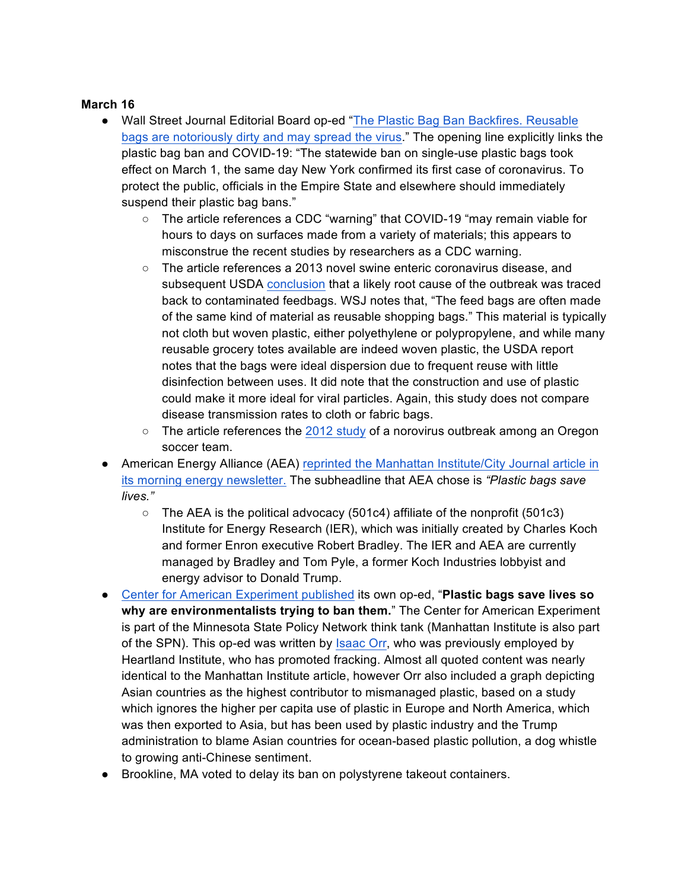- Wall Street Journal Editorial Board op-ed "The Plastic Bag Ban Backfires. Reusable bags are notoriously dirty and may spread the virus." The opening line explicitly links the plastic bag ban and COVID-19: "The statewide ban on single-use plastic bags took effect on March 1, the same day New York confirmed its first case of coronavirus. To protect the public, officials in the Empire State and elsewhere should immediately suspend their plastic bag bans."
	- The article references a CDC "warning" that COVID-19 "may remain viable for hours to days on surfaces made from a variety of materials; this appears to misconstrue the recent studies by researchers as a CDC warning.
	- $\circ$  The article references a 2013 novel swine enteric coronavirus disease, and subsequent USDA conclusion that a likely root cause of the outbreak was traced back to contaminated feedbags. WSJ notes that, "The feed bags are often made of the same kind of material as reusable shopping bags." This material is typically not cloth but woven plastic, either polyethylene or polypropylene, and while many reusable grocery totes available are indeed woven plastic, the USDA report notes that the bags were ideal dispersion due to frequent reuse with little disinfection between uses. It did note that the construction and use of plastic could make it more ideal for viral particles. Again, this study does not compare disease transmission rates to cloth or fabric bags.
	- The article references the 2012 study of a norovirus outbreak among an Oregon soccer team.
- American Energy Alliance (AEA) reprinted the Manhattan Institute/City Journal article in its morning energy newsletter. The subheadline that AEA chose is *"Plastic bags save lives."* 
	- $\circ$  The AEA is the political advocacy (501c4) affiliate of the nonprofit (501c3) Institute for Energy Research (IER), which was initially created by Charles Koch and former Enron executive Robert Bradley. The IER and AEA are currently managed by Bradley and Tom Pyle, a former Koch Industries lobbyist and energy advisor to Donald Trump.
- Center for American Experiment published its own op-ed, "**Plastic bags save lives so why are environmentalists trying to ban them.**" The Center for American Experiment is part of the Minnesota State Policy Network think tank (Manhattan Institute is also part of the SPN). This op-ed was written by Isaac Orr, who was previously employed by Heartland Institute, who has promoted fracking. Almost all quoted content was nearly identical to the Manhattan Institute article, however Orr also included a graph depicting Asian countries as the highest contributor to mismanaged plastic, based on a study which ignores the higher per capita use of plastic in Europe and North America, which was then exported to Asia, but has been used by plastic industry and the Trump administration to blame Asian countries for ocean-based plastic pollution, a dog whistle to growing anti-Chinese sentiment.
- Brookline, MA voted to delay its ban on polystyrene takeout containers.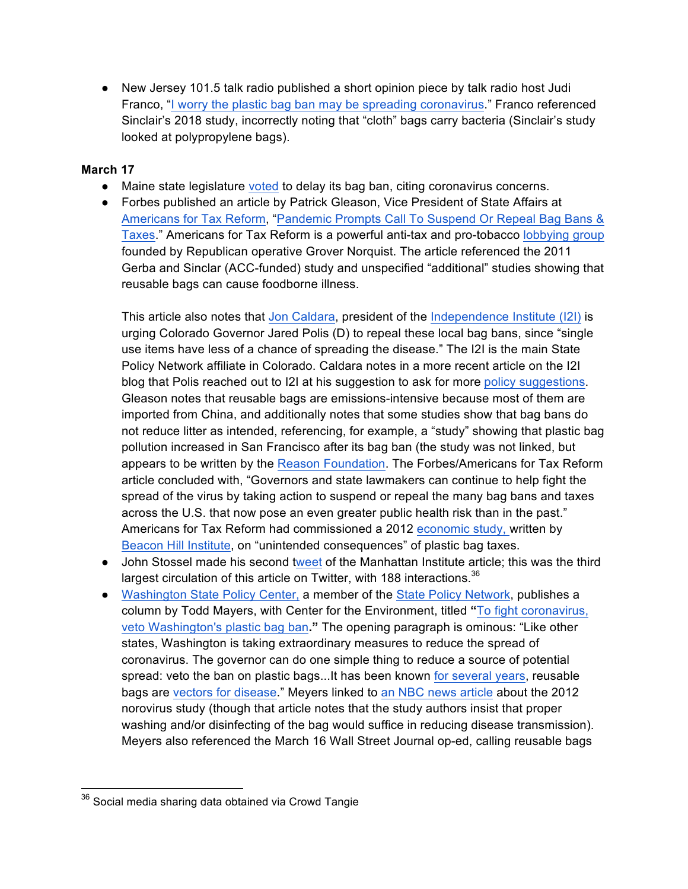● New Jersey 101.5 talk radio published a short opinion piece by talk radio host Judi Franco, "I worry the plastic bag ban may be spreading coronavirus." Franco referenced Sinclair's 2018 study, incorrectly noting that "cloth" bags carry bacteria (Sinclair's study looked at polypropylene bags).

#### **March 17**

- Maine state legislature voted to delay its bag ban, citing coronavirus concerns.
- Forbes published an article by Patrick Gleason, Vice President of State Affairs at Americans for Tax Reform, "Pandemic Prompts Call To Suspend Or Repeal Bag Bans & Taxes." Americans for Tax Reform is a powerful anti-tax and pro-tobacco lobbying group founded by Republican operative Grover Norquist. The article referenced the 2011 Gerba and Sinclar (ACC-funded) study and unspecified "additional" studies showing that reusable bags can cause foodborne illness.

This article also notes that Jon Caldara, president of the Independence Institute (I2I) is urging Colorado Governor Jared Polis (D) to repeal these local bag bans, since "single use items have less of a chance of spreading the disease." The I2I is the main State Policy Network affiliate in Colorado. Caldara notes in a more recent article on the I2I blog that Polis reached out to I2I at his suggestion to ask for more policy suggestions. Gleason notes that reusable bags are emissions-intensive because most of them are imported from China, and additionally notes that some studies show that bag bans do not reduce litter as intended, referencing, for example, a "study" showing that plastic bag pollution increased in San Francisco after its bag ban (the study was not linked, but appears to be written by the Reason Foundation. The Forbes/Americans for Tax Reform article concluded with, "Governors and state lawmakers can continue to help fight the spread of the virus by taking action to suspend or repeal the many bag bans and taxes across the U.S. that now pose an even greater public health risk than in the past." Americans for Tax Reform had commissioned a 2012 economic study, written by Beacon Hill Institute, on "unintended consequences" of plastic bag taxes.

- John Stossel made his second tweet of the Manhattan Institute article; this was the third largest circulation of this article on Twitter, with 188 interactions.<sup>36</sup>
- Washington State Policy Center, a member of the State Policy Network, publishes a column by Todd Mayers, with Center for the Environment, titled **"**To fight coronavirus, veto Washington's plastic bag ban**."** The opening paragraph is ominous: "Like other states, Washington is taking extraordinary measures to reduce the spread of coronavirus. The governor can do one simple thing to reduce a source of potential spread: veto the ban on plastic bags...It has been known for several years, reusable bags are vectors for disease." Meyers linked to an NBC news article about the 2012 norovirus study (though that article notes that the study authors insist that proper washing and/or disinfecting of the bag would suffice in reducing disease transmission). Meyers also referenced the March 16 Wall Street Journal op-ed, calling reusable bags

<sup>&</sup>lt;sup>36</sup> Social media sharing data obtained via Crowd Tangie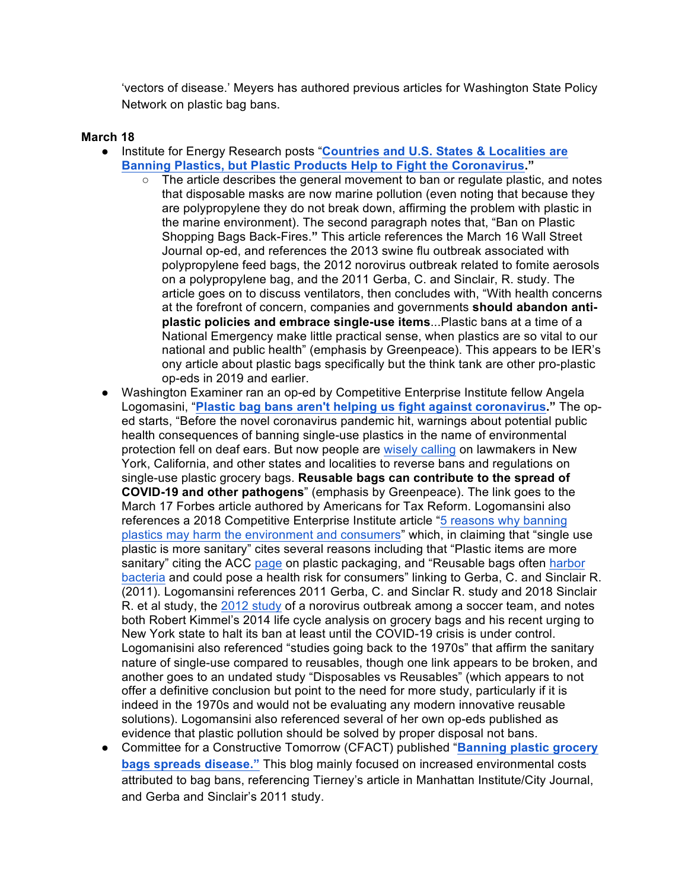'vectors of disease.' Meyers has authored previous articles for Washington State Policy Network on plastic bag bans.

- Institute for Energy Research posts "**Countries and U.S. States & Localities are Banning Plastics, but Plastic Products Help to Fight the Coronavirus."** 
	- The article describes the general movement to ban or regulate plastic, and notes that disposable masks are now marine pollution (even noting that because they are polypropylene they do not break down, affirming the problem with plastic in the marine environment). The second paragraph notes that, "Ban on Plastic Shopping Bags Back-Fires.**"** This article references the March 16 Wall Street Journal op-ed, and references the 2013 swine flu outbreak associated with polypropylene feed bags, the 2012 norovirus outbreak related to fomite aerosols on a polypropylene bag, and the 2011 Gerba, C. and Sinclair, R. study. The article goes on to discuss ventilators, then concludes with, "With health concerns at the forefront of concern, companies and governments **should abandon antiplastic policies and embrace single-use items**...Plastic bans at a time of a National Emergency make little practical sense, when plastics are so vital to our national and public health" (emphasis by Greenpeace). This appears to be IER's ony article about plastic bags specifically but the think tank are other pro-plastic op-eds in 2019 and earlier.
- Washington Examiner ran an op-ed by Competitive Enterprise Institute fellow Angela Logomasini, "**Plastic bag bans aren't helping us fight against coronavirus."** The oped starts, "Before the novel coronavirus pandemic hit, warnings about potential public health consequences of banning single-use plastics in the name of environmental protection fell on deaf ears. But now people are wisely calling on lawmakers in New York, California, and other states and localities to reverse bans and regulations on single-use plastic grocery bags. **Reusable bags can contribute to the spread of COVID-19 and other pathogens**" (emphasis by Greenpeace). The link goes to the March 17 Forbes article authored by Americans for Tax Reform. Logomansini also references a 2018 Competitive Enterprise Institute article "5 reasons why banning plastics may harm the environment and consumers" which, in claiming that "single use plastic is more sanitary" cites several reasons including that "Plastic items are more sanitary" citing the ACC page on plastic packaging, and "Reusable bags often harbor bacteria and could pose a health risk for consumers" linking to Gerba, C. and Sinclair R. (2011). Logomansini references 2011 Gerba, C. and Sinclar R. study and 2018 Sinclair R. et al study, the 2012 study of a norovirus outbreak among a soccer team, and notes both Robert Kimmel's 2014 life cycle analysis on grocery bags and his recent urging to New York state to halt its ban at least until the COVID-19 crisis is under control. Logomanisini also referenced "studies going back to the 1970s" that affirm the sanitary nature of single-use compared to reusables, though one link appears to be broken, and another goes to an undated study "Disposables vs Reusables" (which appears to not offer a definitive conclusion but point to the need for more study, particularly if it is indeed in the 1970s and would not be evaluating any modern innovative reusable solutions). Logomansini also referenced several of her own op-eds published as evidence that plastic pollution should be solved by proper disposal not bans.
- Committee for a Constructive Tomorrow (CFACT) published "**Banning plastic grocery bags spreads disease."** This blog mainly focused on increased environmental costs attributed to bag bans, referencing Tierney's article in Manhattan Institute/City Journal, and Gerba and Sinclair's 2011 study.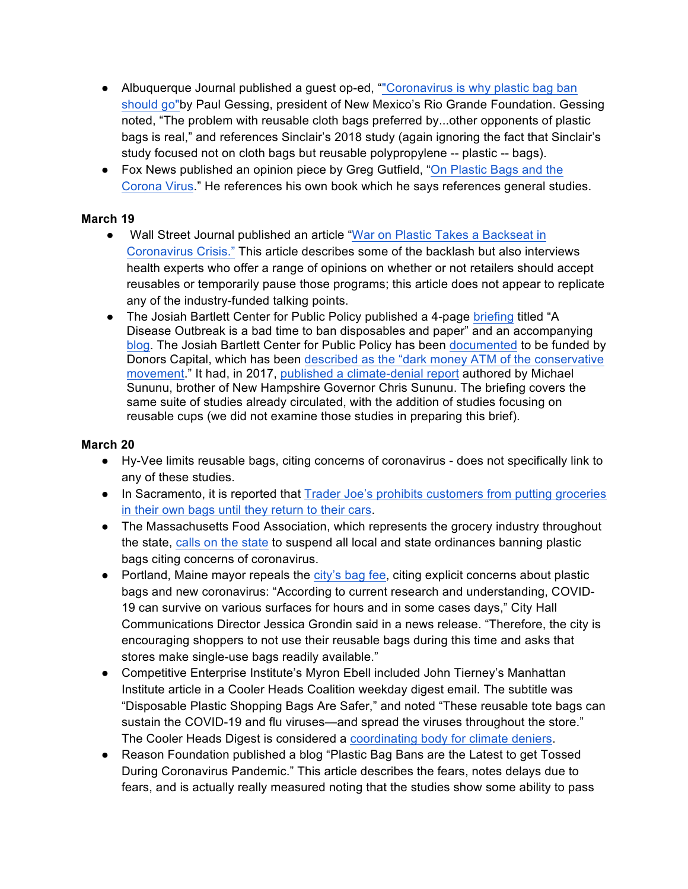- Albuquerque Journal published a guest op-ed, ""Coronavirus is why plastic bag ban should go"by Paul Gessing, president of New Mexico's Rio Grande Foundation. Gessing noted, "The problem with reusable cloth bags preferred by...other opponents of plastic bags is real," and references Sinclair's 2018 study (again ignoring the fact that Sinclair's study focused not on cloth bags but reusable polypropylene -- plastic -- bags).
- Fox News published an opinion piece by Greg Gutfield, "On Plastic Bags and the Corona Virus." He references his own book which he says references general studies.

#### **March 19**

- Wall Street Journal published an article "War on Plastic Takes a Backseat in Coronavirus Crisis." This article describes some of the backlash but also interviews health experts who offer a range of opinions on whether or not retailers should accept reusables or temporarily pause those programs; this article does not appear to replicate any of the industry-funded talking points.
- The Josiah Bartlett Center for Public Policy published a 4-page briefing titled "A Disease Outbreak is a bad time to ban disposables and paper" and an accompanying blog. The Josiah Bartlett Center for Public Policy has been documented to be funded by Donors Capital, which has been described as the "dark money ATM of the conservative movement." It had, in 2017, published a climate-denial report authored by Michael Sununu, brother of New Hampshire Governor Chris Sununu. The briefing covers the same suite of studies already circulated, with the addition of studies focusing on reusable cups (we did not examine those studies in preparing this brief).

- Hy-Vee limits reusable bags, citing concerns of coronavirus does not specifically link to any of these studies.
- In Sacramento, it is reported that Trader Joe's prohibits customers from putting groceries in their own bags until they return to their cars.
- The Massachusetts Food Association, which represents the grocery industry throughout the state, calls on the state to suspend all local and state ordinances banning plastic bags citing concerns of coronavirus.
- Portland, Maine mayor repeals the city's bag fee, citing explicit concerns about plastic bags and new coronavirus: "According to current research and understanding, COVID-19 can survive on various surfaces for hours and in some cases days," City Hall Communications Director Jessica Grondin said in a news release. "Therefore, the city is encouraging shoppers to not use their reusable bags during this time and asks that stores make single-use bags readily available."
- Competitive Enterprise Institute's Myron Ebell included John Tierney's Manhattan Institute article in a Cooler Heads Coalition weekday digest email. The subtitle was "Disposable Plastic Shopping Bags Are Safer," and noted "These reusable tote bags can sustain the COVID-19 and flu viruses—and spread the viruses throughout the store." The Cooler Heads Digest is considered a coordinating body for climate deniers.
- Reason Foundation published a blog "Plastic Bag Bans are the Latest to get Tossed During Coronavirus Pandemic." This article describes the fears, notes delays due to fears, and is actually really measured noting that the studies show some ability to pass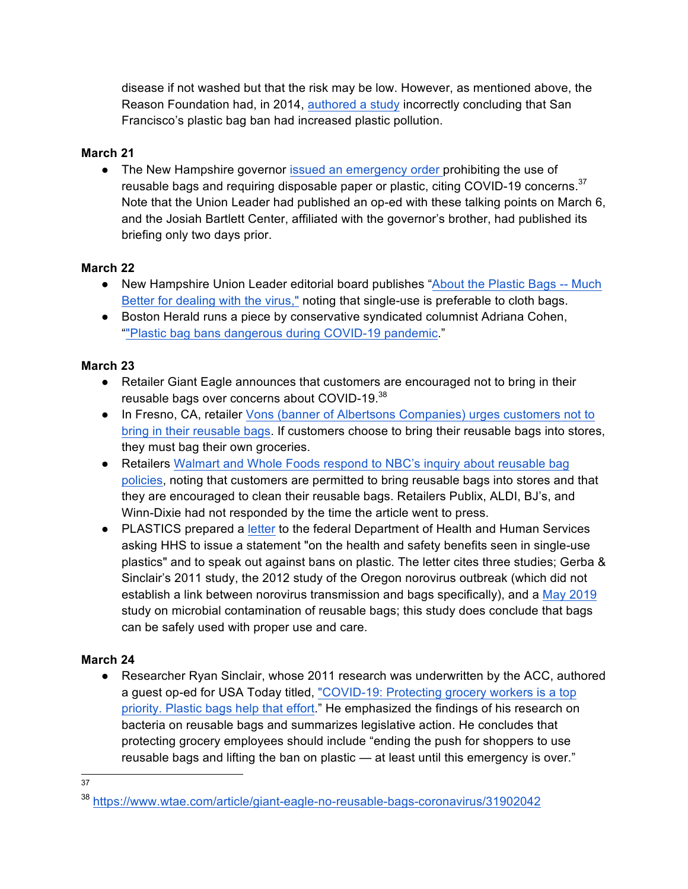disease if not washed but that the risk may be low. However, as mentioned above, the Reason Foundation had, in 2014, authored a study incorrectly concluding that San Francisco's plastic bag ban had increased plastic pollution.

# **March 21**

• The New Hampshire governor issued an emergency order prohibiting the use of reusable bags and requiring disposable paper or plastic, citing COVID-19 concerns.  $37$ Note that the Union Leader had published an op-ed with these talking points on March 6, and the Josiah Bartlett Center, affiliated with the governor's brother, had published its briefing only two days prior.

# **March 22**

- New Hampshire Union Leader editorial board publishes "About the Plastic Bags -- Much Better for dealing with the virus," noting that single-use is preferable to cloth bags.
- Boston Herald runs a piece by conservative syndicated columnist Adriana Cohen, ""Plastic bag bans dangerous during COVID-19 pandemic."

# **March 23**

- Retailer Giant Eagle announces that customers are encouraged not to bring in their reusable bags over concerns about COVID-19.<sup>38</sup>
- In Fresno, CA, retailer Vons (banner of Albertsons Companies) urges customers not to bring in their reusable bags. If customers choose to bring their reusable bags into stores, they must bag their own groceries.
- Retailers Walmart and Whole Foods respond to NBC's inquiry about reusable bag policies, noting that customers are permitted to bring reusable bags into stores and that they are encouraged to clean their reusable bags. Retailers Publix, ALDI, BJ's, and Winn-Dixie had not responded by the time the article went to press.
- PLASTICS prepared a letter to the federal Department of Health and Human Services asking HHS to issue a statement "on the health and safety benefits seen in single-use plastics" and to speak out against bans on plastic. The letter cites three studies; Gerba & Sinclair's 2011 study, the 2012 study of the Oregon norovirus outbreak (which did not establish a link between norovirus transmission and bags specifically), and a May 2019 study on microbial contamination of reusable bags; this study does conclude that bags can be safely used with proper use and care.

# **March 24**

• Researcher Ryan Sinclair, whose 2011 research was underwritten by the ACC, authored a guest op-ed for USA Today titled, "COVID-19: Protecting grocery workers is a top priority. Plastic bags help that effort." He emphasized the findings of his research on bacteria on reusable bags and summarizes legislative action. He concludes that protecting grocery employees should include "ending the push for shoppers to use reusable bags and lifting the ban on plastic — at least until this emergency is over."

 <sup>37</sup>

<sup>38</sup> https://www.wtae.com/article/giant-eagle-no-reusable-bags-coronavirus/31902042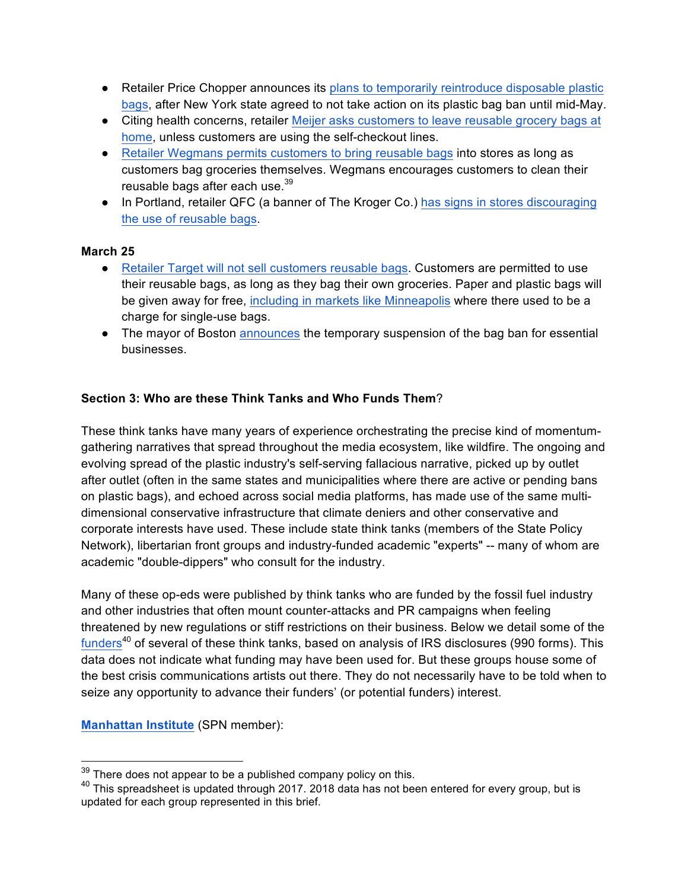- Retailer Price Chopper announces its plans to temporarily reintroduce disposable plastic bags, after New York state agreed to not take action on its plastic bag ban until mid-May.
- Citing health concerns, retailer Meijer asks customers to leave reusable grocery bags at home, unless customers are using the self-checkout lines.
- Retailer Wegmans permits customers to bring reusable bags into stores as long as customers bag groceries themselves. Wegmans encourages customers to clean their reusable bags after each use.<sup>39</sup>
- In Portland, retailer QFC (a banner of The Kroger Co.) has signs in stores discouraging the use of reusable bags.

#### **March 25**

- Retailer Target will not sell customers reusable bags. Customers are permitted to use their reusable bags, as long as they bag their own groceries. Paper and plastic bags will be given away for free, including in markets like Minneapolis where there used to be a charge for single-use bags.
- The mayor of Boston announces the temporary suspension of the bag ban for essential businesses.

#### **Section 3: Who are these Think Tanks and Who Funds Them**?

These think tanks have many years of experience orchestrating the precise kind of momentumgathering narratives that spread throughout the media ecosystem, like wildfire. The ongoing and evolving spread of the plastic industry's self-serving fallacious narrative, picked up by outlet after outlet (often in the same states and municipalities where there are active or pending bans on plastic bags), and echoed across social media platforms, has made use of the same multidimensional conservative infrastructure that climate deniers and other conservative and corporate interests have used. These include state think tanks (members of the State Policy Network), libertarian front groups and industry-funded academic "experts" -- many of whom are academic "double-dippers" who consult for the industry.

Many of these op-eds were published by think tanks who are funded by the fossil fuel industry and other industries that often mount counter-attacks and PR campaigns when feeling threatened by new regulations or stiff restrictions on their business. Below we detail some of the funders $40$  of several of these think tanks, based on analysis of IRS disclosures (990 forms). This data does not indicate what funding may have been used for. But these groups house some of the best crisis communications artists out there. They do not necessarily have to be told when to seize any opportunity to advance their funders' (or potential funders) interest.

**Manhattan Institute** (SPN member):

 $39$  There does not appear to be a published company policy on this.

 $40$  This spreadsheet is updated through 2017. 2018 data has not been entered for every group, but is updated for each group represented in this brief.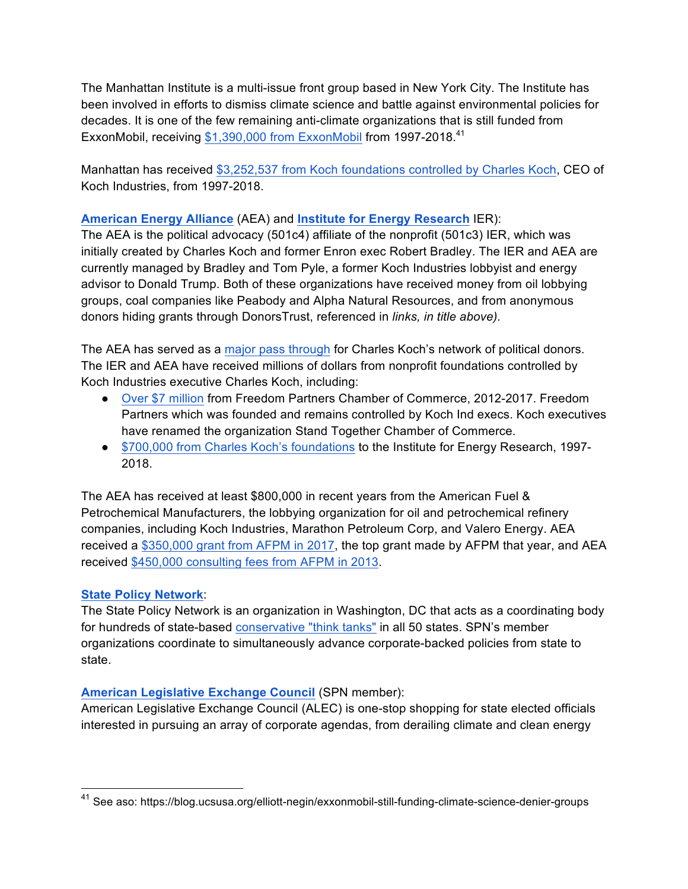The Manhattan Institute is a multi-issue front group based in New York City. The Institute has been involved in efforts to dismiss climate science and battle against environmental policies for decades. It is one of the few remaining anti-climate organizations that is still funded from ExxonMobil, receiving \$1,390,000 from ExxonMobil from 1997-2018.<sup>41</sup>

Manhattan has received \$3,252,537 from Koch foundations controlled by Charles Koch, CEO of Koch Industries, from 1997-2018.

### **American Energy Alliance** (AEA) and **Institute for Energy Research** IER):

The AEA is the political advocacy (501c4) affiliate of the nonprofit (501c3) IER, which was initially created by Charles Koch and former Enron exec Robert Bradley. The IER and AEA are currently managed by Bradley and Tom Pyle, a former Koch Industries lobbyist and energy advisor to Donald Trump. Both of these organizations have received money from oil lobbying groups, coal companies like Peabody and Alpha Natural Resources, and from anonymous donors hiding grants through DonorsTrust, referenced in *links, in title above).*

The AEA has served as a major pass through for Charles Koch's network of political donors. The IER and AEA have received millions of dollars from nonprofit foundations controlled by Koch Industries executive Charles Koch, including:

- Over \$7 million from Freedom Partners Chamber of Commerce, 2012-2017. Freedom Partners which was founded and remains controlled by Koch Ind execs. Koch executives have renamed the organization Stand Together Chamber of Commerce.
- \$700,000 from Charles Koch's foundations to the Institute for Energy Research, 1997- 2018.

The AEA has received at least \$800,000 in recent years from the American Fuel & Petrochemical Manufacturers, the lobbying organization for oil and petrochemical refinery companies, including Koch Industries, Marathon Petroleum Corp, and Valero Energy. AEA received a \$350,000 grant from AFPM in 2017, the top grant made by AFPM that year, and AEA received \$450,000 consulting fees from AFPM in 2013.

### **State Policy Network**:

The State Policy Network is an organization in Washington, DC that acts as a coordinating body for hundreds of state-based conservative "think tanks" in all 50 states. SPN's member organizations coordinate to simultaneously advance corporate-backed policies from state to state.

### **American Legislative Exchange Council** (SPN member):

American Legislative Exchange Council (ALEC) is one-stop shopping for state elected officials interested in pursuing an array of corporate agendas, from derailing climate and clean energy

 <sup>41</sup> See aso: https://blog.ucsusa.org/elliott-negin/exxonmobil-still-funding-climate-science-denier-groups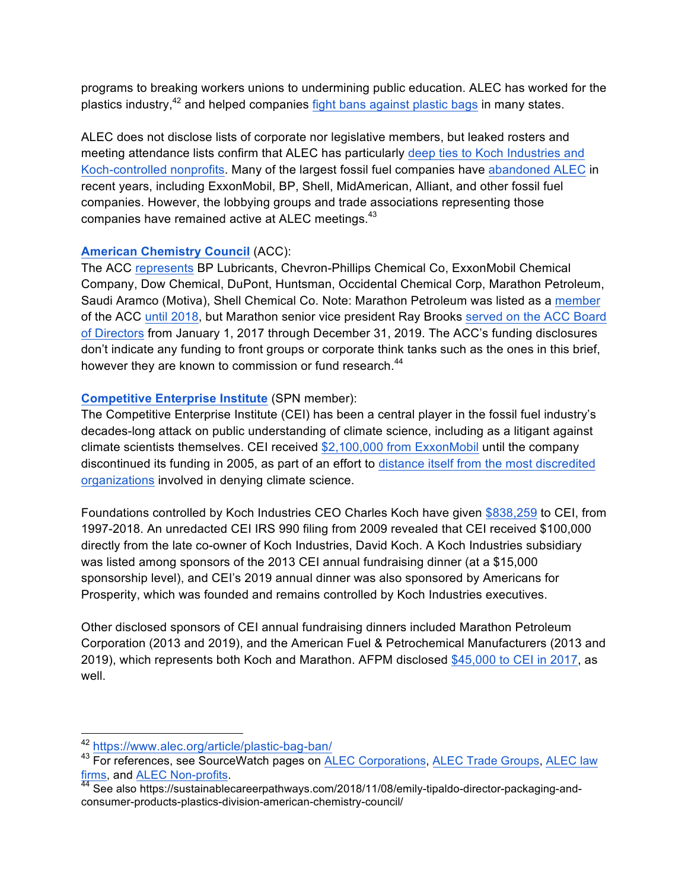programs to breaking workers unions to undermining public education. ALEC has worked for the plastics industry,<sup>42</sup> and helped companies fight bans against plastic bags in many states.

ALEC does not disclose lists of corporate nor legislative members, but leaked rosters and meeting attendance lists confirm that ALEC has particularly deep ties to Koch Industries and Koch-controlled nonprofits. Many of the largest fossil fuel companies have abandoned ALEC in recent years, including ExxonMobil, BP, Shell, MidAmerican, Alliant, and other fossil fuel companies. However, the lobbying groups and trade associations representing those companies have remained active at ALEC meetings.<sup>43</sup>

#### **American Chemistry Council** (ACC):

The ACC represents BP Lubricants, Chevron-Phillips Chemical Co, ExxonMobil Chemical Company, Dow Chemical, DuPont, Huntsman, Occidental Chemical Corp, Marathon Petroleum, Saudi Aramco (Motiva), Shell Chemical Co. Note: Marathon Petroleum was listed as a member of the ACC until 2018, but Marathon senior vice president Ray Brooks served on the ACC Board of Directors from January 1, 2017 through December 31, 2019. The ACC's funding disclosures don't indicate any funding to front groups or corporate think tanks such as the ones in this brief, however they are known to commission or fund research.<sup>44</sup>

#### **Competitive Enterprise Institute** (SPN member):

The Competitive Enterprise Institute (CEI) has been a central player in the fossil fuel industry's decades-long attack on public understanding of climate science, including as a litigant against climate scientists themselves. CEI received \$2,100,000 from ExxonMobil until the company discontinued its funding in 2005, as part of an effort to distance itself from the most discredited organizations involved in denying climate science.

Foundations controlled by Koch Industries CEO Charles Koch have given \$838,259 to CEI, from 1997-2018. An unredacted CEI IRS 990 filing from 2009 revealed that CEI received \$100,000 directly from the late co-owner of Koch Industries, David Koch. A Koch Industries subsidiary was listed among sponsors of the 2013 CEI annual fundraising dinner (at a \$15,000 sponsorship level), and CEI's 2019 annual dinner was also sponsored by Americans for Prosperity, which was founded and remains controlled by Koch Industries executives.

Other disclosed sponsors of CEI annual fundraising dinners included Marathon Petroleum Corporation (2013 and 2019), and the American Fuel & Petrochemical Manufacturers (2013 and 2019), which represents both Koch and Marathon. AFPM disclosed \$45,000 to CEI in 2017, as well.

 <sup>42</sup> https://www.alec.org/article/plastic-bag-ban/

<sup>43</sup> For references, see SourceWatch pages on ALEC Corporations, ALEC Trade Groups, ALEC law firms, and <u>ALEC Non-profits</u>.<br><sup>44</sup> See also https://sustainablecareerpathways.com/2018/11/08/emily-tipaldo-director-packaging-and-

consumer-products-plastics-division-american-chemistry-council/